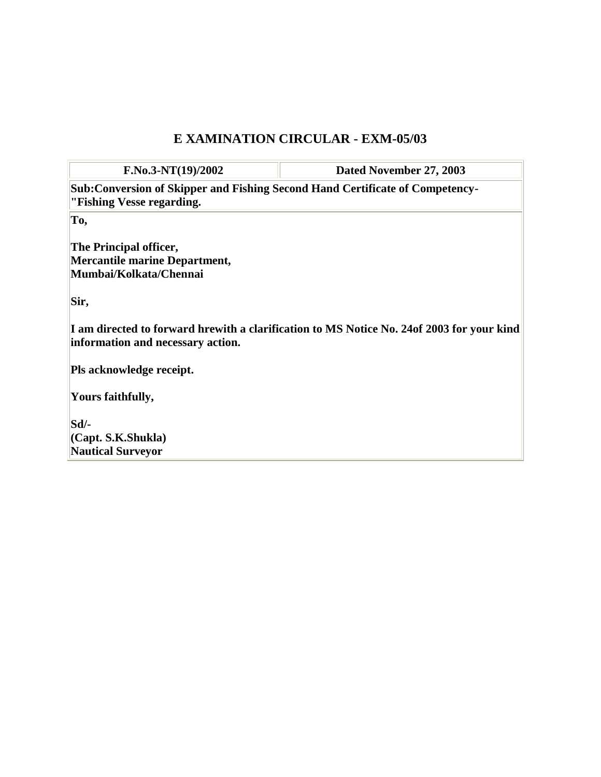## **E XAMINATION CIRCULAR - EXM-05/03**

**F.No.3-NT(19)/2002 Dated November 27, 2003 Sub:Conversion of Skipper and Fishing Second Hand Certificate of Competency- "Fishing Vesse regarding. To, The Principal officer, Mercantile marine Department, Mumbai/Kolkata/Chennai Sir, I am directed to forward hrewith a clarification to MS Notice No. 24of 2003 for your kind information and necessary action. Pls acknowledge receipt. Yours faithfully, Sd/- (Capt. S.K.Shukla) Nautical Surveyor**